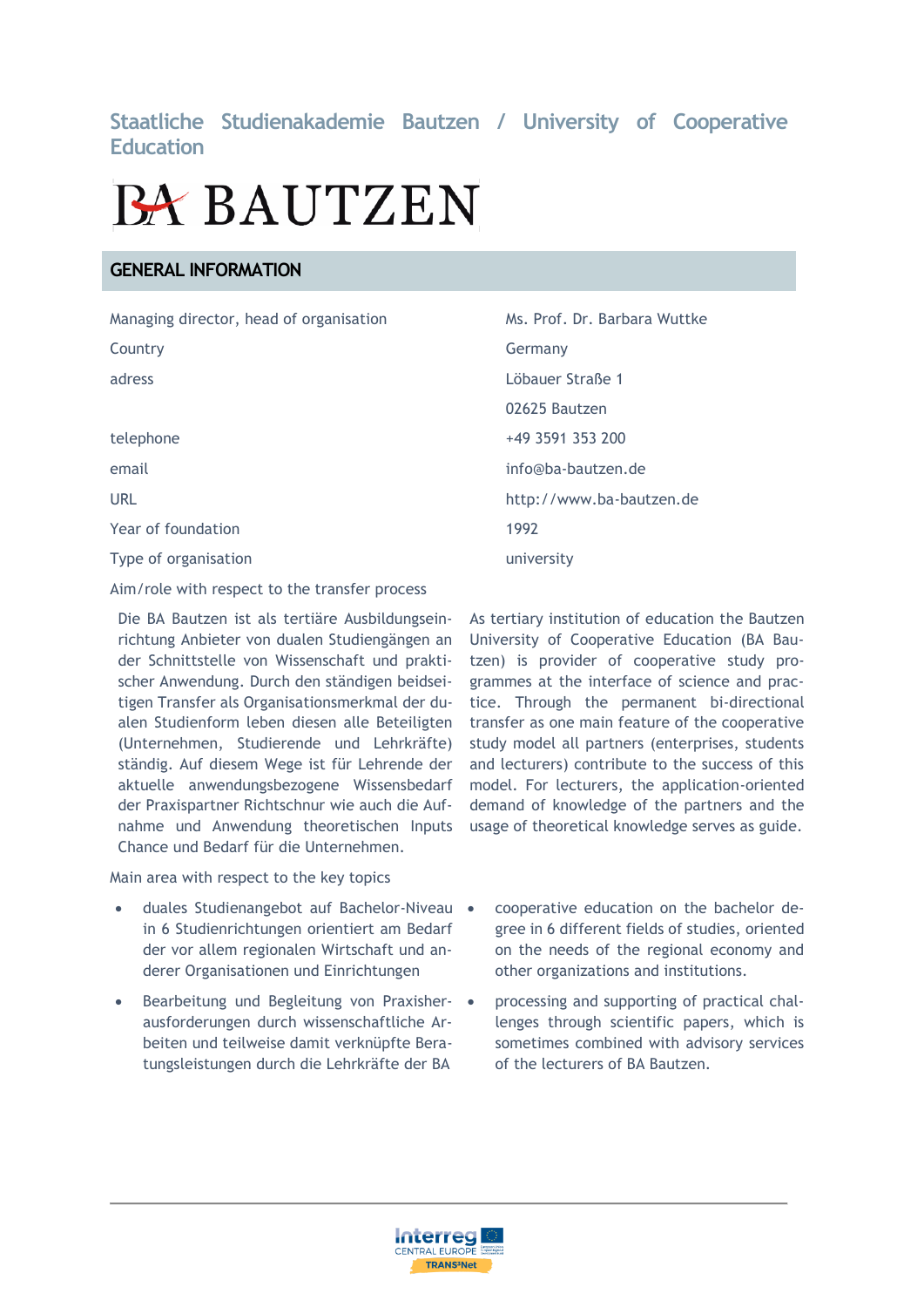## **Staatliche Studienakademie Bautzen / University of Cooperative Education**

# **BA BAUTZEN**

## **GENERAL INFORMATION**

| Managing director, head of organisation | Ms. Prof. Dr. Barbara Wuttke |
|-----------------------------------------|------------------------------|
| Country                                 | Germany                      |
| adress                                  | Löbauer Straße 1             |
|                                         | 02625 Bautzen                |
| telephone                               | +49 3591 353 200             |
| email                                   | info@ba-bautzen.de           |
| <b>URL</b>                              | http://www.ba-bautzen.de     |
| Year of foundation                      | 1992                         |
| Type of organisation                    | university                   |

Aim/role with respect to the transfer process

Die BA Bautzen ist als tertiäre Ausbildungseinrichtung Anbieter von dualen Studiengängen an der Schnittstelle von Wissenschaft und praktischer Anwendung. Durch den ständigen beidseitigen Transfer als Organisationsmerkmal der dualen Studienform leben diesen alle Beteiligten (Unternehmen, Studierende und Lehrkräfte) ständig. Auf diesem Wege ist für Lehrende der aktuelle anwendungsbezogene Wissensbedarf der Praxispartner Richtschnur wie auch die Aufnahme und Anwendung theoretischen Inputs Chance und Bedarf für die Unternehmen.

Main area with respect to the key topics

- duales Studienangebot auf Bachelor-Niveau in 6 Studienrichtungen orientiert am Bedarf der vor allem regionalen Wirtschaft und anderer Organisationen und Einrichtungen
- Bearbeitung und Begleitung von Praxisher- ausforderungen durch wissenschaftliche Arbeiten und teilweise damit verknüpfte Beratungsleistungen durch die Lehrkräfte der BA

As tertiary institution of education the Bautzen University of Cooperative Education (BA Bautzen) is provider of cooperative study programmes at the interface of science and practice. Through the permanent bi-directional transfer as one main feature of the cooperative study model all partners (enterprises, students and lecturers) contribute to the success of this model. For lecturers, the application-oriented demand of knowledge of the partners and the usage of theoretical knowledge serves as guide.

- cooperative education on the bachelor degree in 6 different fields of studies, oriented on the needs of the regional economy and other organizations and institutions.
- processing and supporting of practical challenges through scientific papers, which is sometimes combined with advisory services of the lecturers of BA Bautzen.

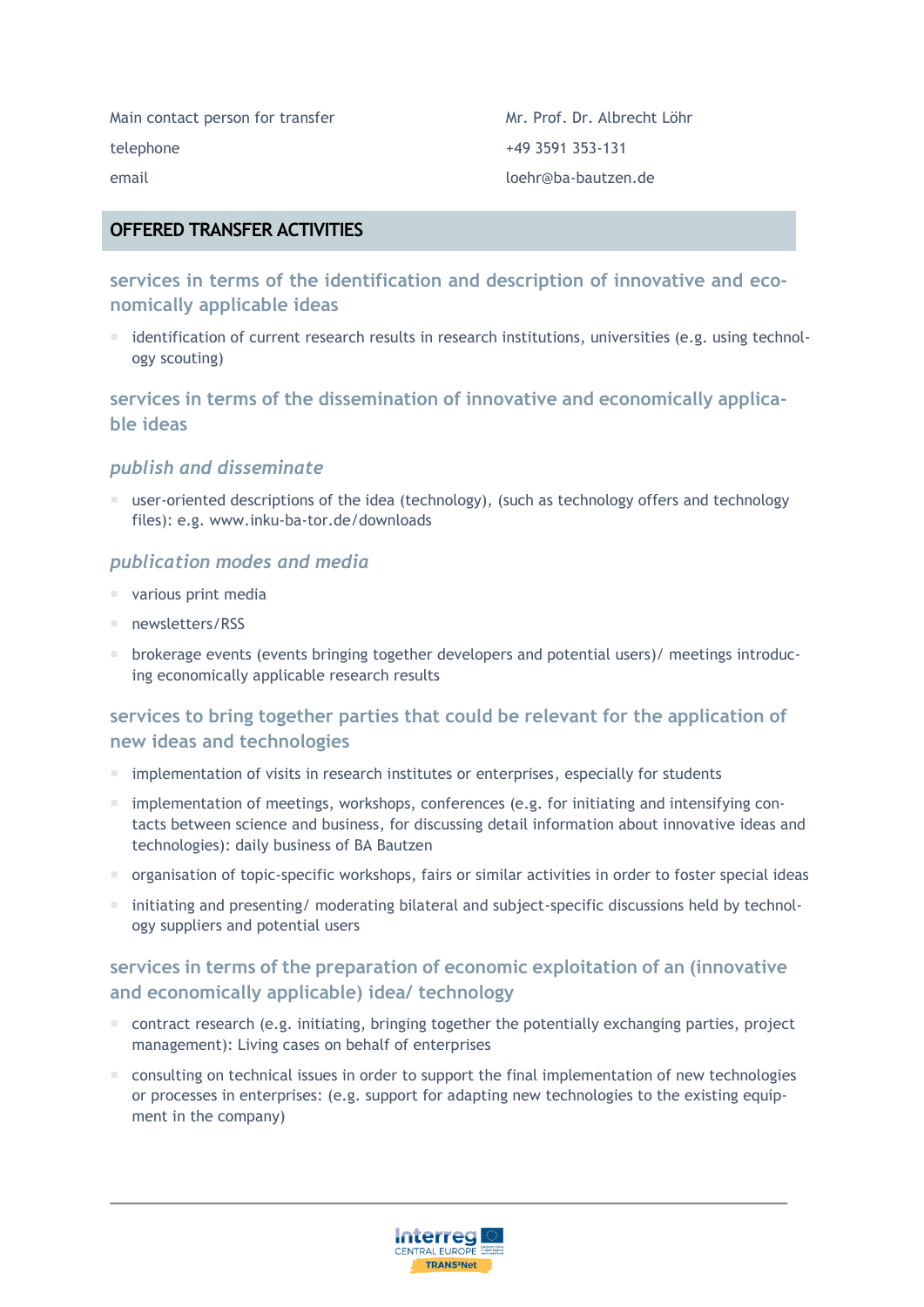Main contact person for transfer Mr. Prof. Dr. Albrecht Löhr telephone +49 3591 353-131 email loehr@ba-bautzen.de

## **OFFERED TRANSFER ACTIVITIES**

**services in terms of the identification and description of innovative and economically applicable ideas**

 $\blacksquare$  identification of current research results in research institutions, universities (e.g. using technology scouting)

**services in terms of the dissemination of innovative and economically applicable ideas**

## *publish and disseminate*

 user-oriented descriptions of the idea (technology), (such as technology offers and technology files): e.g. www.inku-ba-tor.de/downloads

## *publication modes and media*

- various print media
- newsletters/RSS
- brokerage events (events bringing together developers and potential users)/ meetings introducing economically applicable research results

## **services to bring together parties that could be relevant for the application of new ideas and technologies**

- $\blacksquare$  implementation of visits in research institutes or enterprises, especially for students
- $\blacksquare$  implementation of meetings, workshops, conferences (e.g. for initiating and intensifying contacts between science and business, for discussing detail information about innovative ideas and technologies): daily business of BA Bautzen
- $\blacksquare$  organisation of topic-specific workshops, fairs or similar activities in order to foster special ideas
- initiating and presenting/ moderating bilateral and subject-specific discussions held by technology suppliers and potential users

## **services in terms of the preparation of economic exploitation of an (innovative and economically applicable) idea/ technology**

- $\blacksquare$  contract research (e.g. initiating, bringing together the potentially exchanging parties, project management): Living cases on behalf of enterprises
- $\blacksquare$  consulting on technical issues in order to support the final implementation of new technologies or processes in enterprises: (e.g. support for adapting new technologies to the existing equipment in the company)